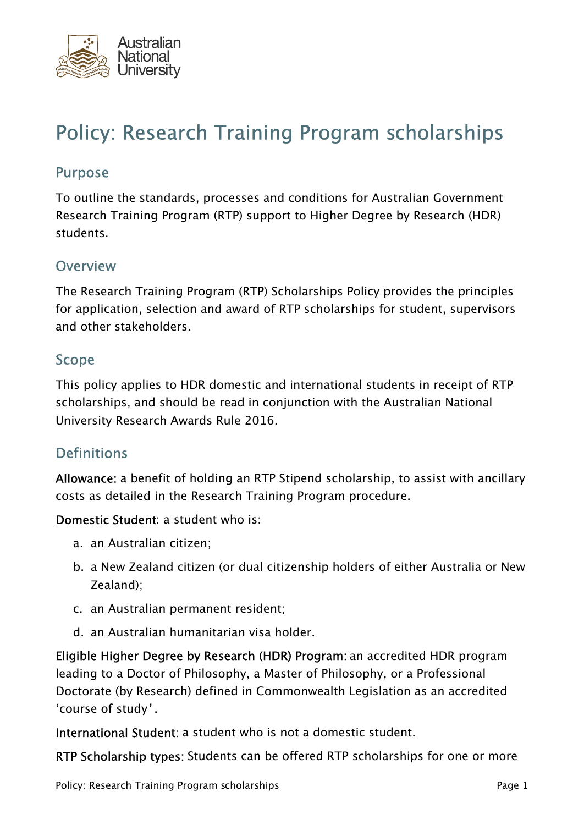

# Policy: Research Training Program scholarships

#### Purpose

To outline the standards, processes and conditions for Australian Government Research Training Program (RTP) support to Higher Degree by Research (HDR) students.

#### **Overview**

The Research Training Program (RTP) Scholarships Policy provides the principles for application, selection and award of RTP scholarships for student, supervisors and other stakeholders.

#### Scope

This policy applies to HDR domestic and international students in receipt of RTP scholarships, and should be read in conjunction with the Australian National University Research Awards Rule 2016.

#### **Definitions**

Allowance: a benefit of holding an RTP Stipend scholarship, to assist with ancillary costs as detailed in the Research Training Program procedure.

Domestic Student: a student who is:

- a. an Australian citizen;
- b. a New Zealand citizen (or dual citizenship holders of either Australia or New Zealand);
- c. an Australian permanent resident;
- d. an Australian humanitarian visa holder.

Eligible Higher Degree by Research (HDR) Program: an accredited HDR program leading to a Doctor of Philosophy, a Master of Philosophy, or a Professional Doctorate (by Research) defined in Commonwealth Legislation as an accredited 'course of study'.

International Student: a student who is not a domestic student.

RTP Scholarship types: Students can be offered RTP scholarships for one or more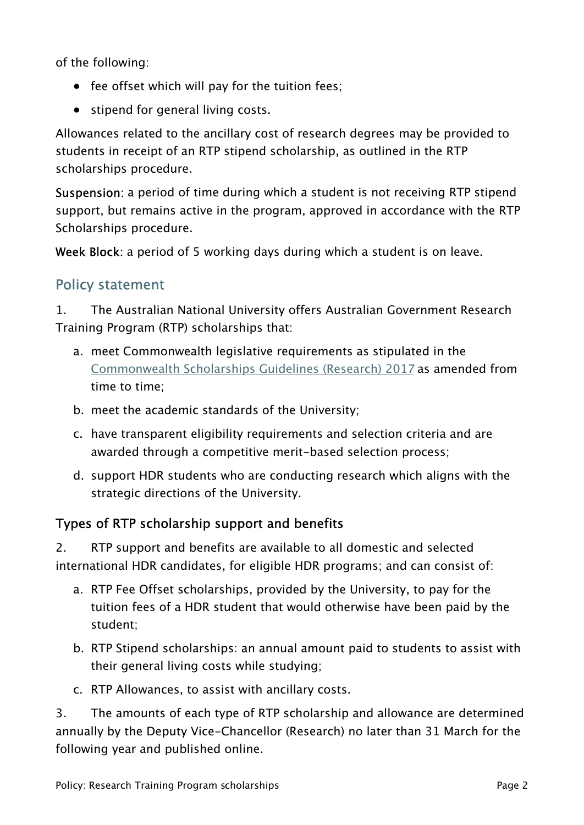of the following:

- fee offset which will pay for the tuition fees;
- stipend for general living costs.

Allowances related to the ancillary cost of research degrees may be provided to students in receipt of an RTP stipend scholarship, as outlined in the RTP scholarships procedure.

Suspension: a period of time during which a student is not receiving RTP stipend support, but remains active in the program, approved in accordance with the RTP Scholarships procedure.

Week Block: a period of 5 working days during which a student is on leave.

# Policy statement

1. The Australian National University offers Australian Government Research Training Program (RTP) scholarships that:

- a. meet Commonwealth legislative requirements as stipulated in the [Commonwealth Scholarships Guidelines \(Research\) 2017](https://www.legislation.gov.au/Details/F2016L01602) as amended from time to time;
- b. meet the academic standards of the University;
- c. have transparent eligibility requirements and selection criteria and are awarded through a competitive merit-based selection process;
- d. support HDR students who are conducting research which aligns with the strategic directions of the University.

# Types of RTP scholarship support and benefits

2. RTP support and benefits are available to all domestic and selected international HDR candidates, for eligible HDR programs; and can consist of:

- a. RTP Fee Offset scholarships, provided by the University, to pay for the tuition fees of a HDR student that would otherwise have been paid by the student;
- b. RTP Stipend scholarships: an annual amount paid to students to assist with their general living costs while studying;
- c. RTP Allowances, to assist with ancillary costs.

3. The amounts of each type of RTP scholarship and allowance are determined annually by the Deputy Vice-Chancellor (Research) no later than 31 March for the following year and published online.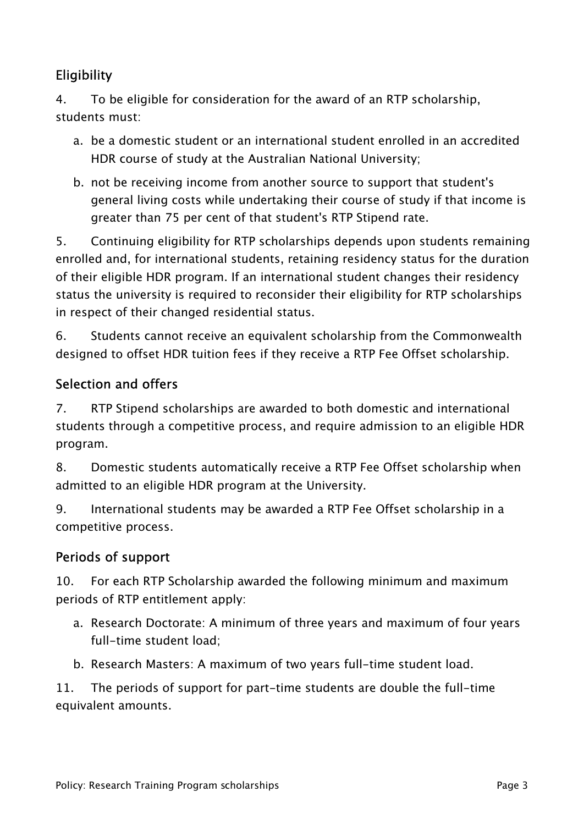# **Eligibility**

4. To be eligible for consideration for the award of an RTP scholarship, students must:

- a. be a domestic student or an international student enrolled in an accredited HDR course of study at the Australian National University;
- b. not be receiving income from another source to support that student's general living costs while undertaking their course of study if that income is greater than 75 per cent of that student's RTP Stipend rate.

5. Continuing eligibility for RTP scholarships depends upon students remaining enrolled and, for international students, retaining residency status for the duration of their eligible HDR program. If an international student changes their residency status the university is required to reconsider their eligibility for RTP scholarships in respect of their changed residential status.

6. Students cannot receive an equivalent scholarship from the Commonwealth designed to offset HDR tuition fees if they receive a RTP Fee Offset scholarship.

#### Selection and offers

7. RTP Stipend scholarships are awarded to both domestic and international students through a competitive process, and require admission to an eligible HDR program.

8. Domestic students automatically receive a RTP Fee Offset scholarship when admitted to an eligible HDR program at the University.

9. International students may be awarded a RTP Fee Offset scholarship in a competitive process.

#### Periods of support

10. For each RTP Scholarship awarded the following minimum and maximum periods of RTP entitlement apply:

- a. Research Doctorate: A minimum of three years and maximum of four years full-time student load;
- b. Research Masters: A maximum of two years full-time student load.

11. The periods of support for part-time students are double the full-time equivalent amounts.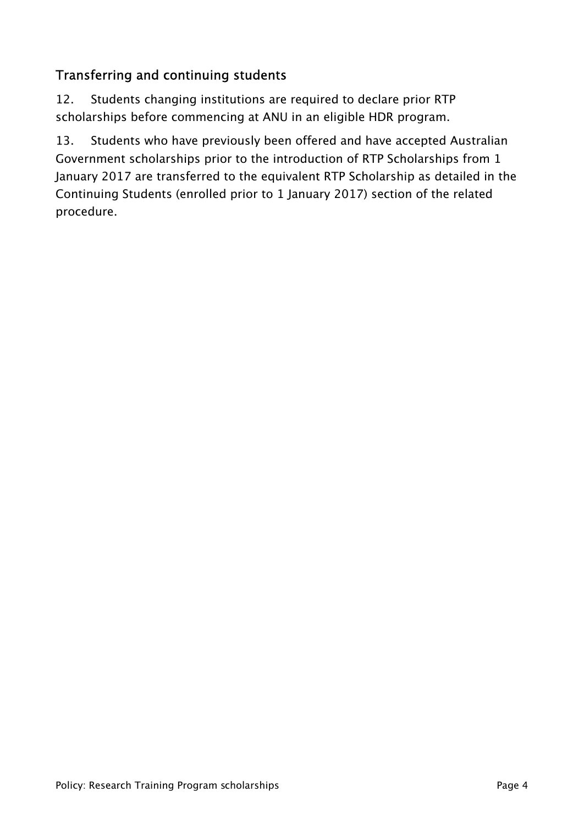# Transferring and continuing students

12. Students changing institutions are required to declare prior RTP scholarships before commencing at ANU in an eligible HDR program.

13. Students who have previously been offered and have accepted Australian Government scholarships prior to the introduction of RTP Scholarships from 1 January 2017 are transferred to the equivalent RTP Scholarship as detailed in the Continuing Students (enrolled prior to 1 January 2017) section of the related procedure.